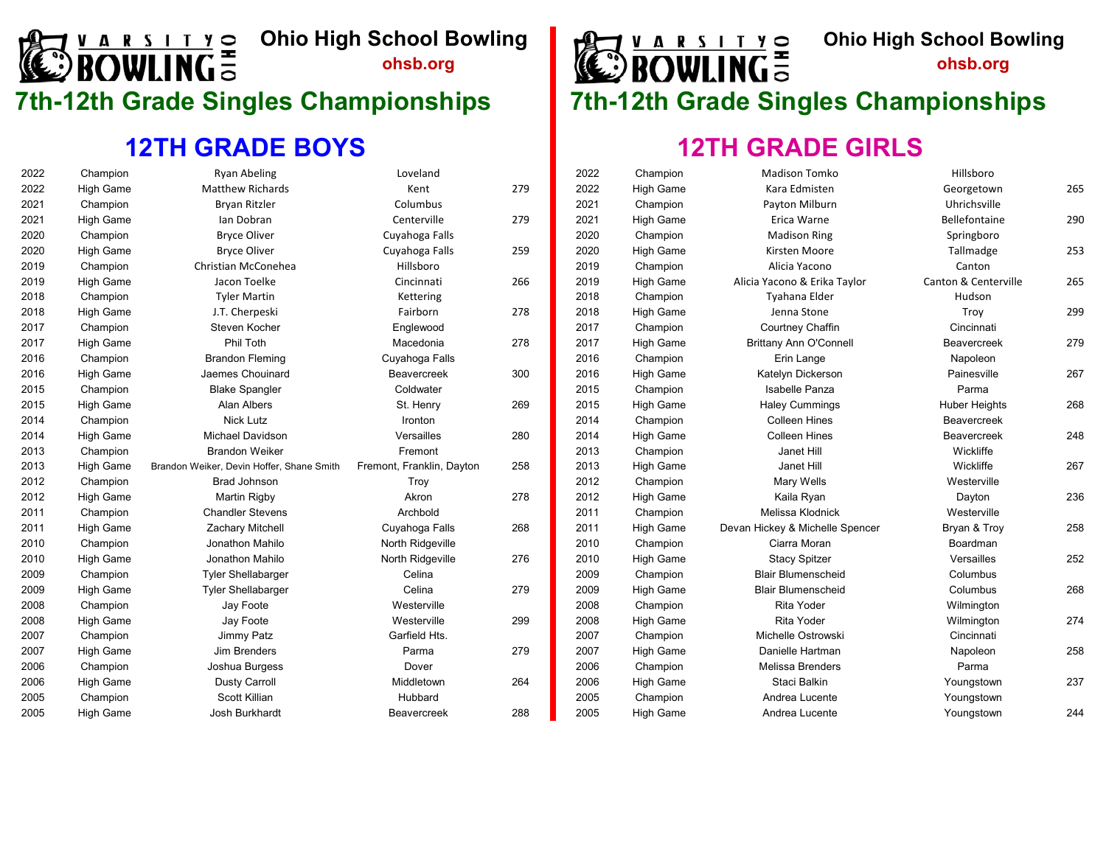# **ARSITY Ohio High School Bowling**<br>**OWLING** State of the state of the state of the Senate of the Senate of the Senate of the Senate of the Senate of the Senate of the Senate of the Senate of the Senate of the Senate of the

#### **12TH GRADE BOYS**

| 2022 | Champion         | <b>Ryan Abeling</b>                       | Loveland                  |     | 2022 | Champion         | <b>Madison Tomko</b>            | Hillsboro            |     |
|------|------------------|-------------------------------------------|---------------------------|-----|------|------------------|---------------------------------|----------------------|-----|
| 2022 | <b>High Game</b> | <b>Matthew Richards</b>                   | Kent                      | 279 | 2022 | <b>High Game</b> | Kara Edmisten                   | Georgetown           | 265 |
| 2021 | Champion         | <b>Brvan Ritzler</b>                      | Columbus                  |     | 2021 | Champion         | Payton Milburn                  | Uhrichsville         |     |
| 2021 | <b>High Game</b> | Ian Dobran                                | Centerville               | 279 | 2021 | <b>High Game</b> | Erica Warne                     | Bellefontaine        | 290 |
| 2020 | Champion         | <b>Bryce Oliver</b>                       | Cuyahoga Falls            |     | 2020 | Champion         | <b>Madison Ring</b>             | Springboro           |     |
| 2020 | <b>High Game</b> | <b>Bryce Oliver</b>                       | Cuyahoga Falls            | 259 | 2020 | <b>High Game</b> | Kirsten Moore                   | Tallmadge            | 253 |
| 2019 | Champion         | Christian McConehea                       | Hillsboro                 |     | 2019 | Champion         | Alicia Yacono                   | Canton               |     |
| 2019 | <b>High Game</b> | Jacon Toelke                              | Cincinnati                | 266 | 2019 | <b>High Game</b> | Alicia Yacono & Erika Taylor    | Canton & Centerville | 265 |
| 2018 | Champion         | <b>Tyler Martin</b>                       | Kettering                 |     | 2018 | Champion         | Tyahana Elder                   | Hudson               |     |
| 2018 | <b>High Game</b> | J.T. Cherpeski                            | Fairborn                  | 278 | 2018 | High Game        | Jenna Stone                     | Troy                 | 299 |
| 2017 | Champion         | Steven Kocher                             | Englewood                 |     | 2017 | Champion         | Courtney Chaffin                | Cincinnati           |     |
| 2017 | <b>High Game</b> | Phil Toth                                 | Macedonia                 | 278 | 2017 | <b>High Game</b> | <b>Brittany Ann O'Connell</b>   | <b>Beavercreek</b>   | 279 |
| 2016 | Champion         | <b>Brandon Fleming</b>                    | Cuyahoga Falls            |     | 2016 | Champion         | Erin Lange                      | Napoleon             |     |
| 2016 | <b>High Game</b> | Jaemes Chouinard                          | Beavercreek               | 300 | 2016 | <b>High Game</b> | Katelyn Dickerson               | Painesville          | 267 |
| 2015 | Champion         | <b>Blake Spangler</b>                     | Coldwater                 |     | 2015 | Champion         | Isabelle Panza                  | Parma                |     |
| 2015 | <b>High Game</b> | Alan Albers                               | St. Henry                 | 269 | 2015 | High Game        | <b>Haley Cummings</b>           | <b>Huber Heights</b> | 268 |
| 2014 | Champion         | <b>Nick Lutz</b>                          | Ironton                   |     | 2014 | Champion         | <b>Colleen Hines</b>            | Beavercreek          |     |
| 2014 | <b>High Game</b> | Michael Davidson                          | Versailles                | 280 | 2014 | <b>High Game</b> | <b>Colleen Hines</b>            | Beavercreek          | 248 |
| 2013 | Champion         | <b>Brandon Weiker</b>                     | Fremont                   |     | 2013 | Champion         | Janet Hill                      | Wickliffe            |     |
| 2013 | <b>High Game</b> | Brandon Weiker, Devin Hoffer, Shane Smith | Fremont, Franklin, Dayton | 258 | 2013 | <b>High Game</b> | Janet Hill                      | Wickliffe            | 267 |
| 2012 | Champion         | Brad Johnson                              | <b>Troy</b>               |     | 2012 | Champion         | Mary Wells                      | Westerville          |     |
| 2012 | <b>High Game</b> | <b>Martin Rigby</b>                       | Akron                     | 278 | 2012 | <b>High Game</b> | Kaila Ryan                      | Dayton               | 236 |
| 2011 | Champion         | <b>Chandler Stevens</b>                   | Archbold                  |     | 2011 | Champion         | Melissa Klodnick                | Westerville          |     |
| 2011 | <b>High Game</b> | <b>Zachary Mitchell</b>                   | Cuyahoga Falls            | 268 | 2011 | <b>High Game</b> | Devan Hickey & Michelle Spencer | Bryan & Troy         | 258 |
| 2010 | Champion         | Jonathon Mahilo                           | North Ridgeville          |     | 2010 | Champion         | Ciarra Moran                    | Boardman             |     |
| 2010 | <b>High Game</b> | Jonathon Mahilo                           | North Ridgeville          | 276 | 2010 | <b>High Game</b> | <b>Stacy Spitzer</b>            | Versailles           | 252 |
| 2009 | Champion         | <b>Tyler Shellabarger</b>                 | Celina                    |     | 2009 | Champion         | <b>Blair Blumenscheid</b>       | Columbus             |     |
| 2009 | <b>High Game</b> | <b>Tyler Shellabarger</b>                 | Celina                    | 279 | 2009 | High Game        | <b>Blair Blumenscheid</b>       | Columbus             | 268 |
| 2008 | Champion         | Jay Foote                                 | Westerville               |     | 2008 | Champion         | <b>Rita Yoder</b>               | Wilmington           |     |
| 2008 | <b>High Game</b> | Jay Foote                                 | Westerville               | 299 | 2008 | High Game        | <b>Rita Yoder</b>               | Wilmington           | 274 |
| 2007 | Champion         | Jimmy Patz                                | Garfield Hts.             |     | 2007 | Champion         | Michelle Ostrowski              | Cincinnati           |     |
| 2007 | <b>High Game</b> | Jim Brenders                              | Parma                     | 279 | 2007 | <b>High Game</b> | Danielle Hartman                | Napoleon             | 258 |
| 2006 | Champion         | Joshua Burgess                            | Dover                     |     | 2006 | Champion         | Melissa Brenders                | Parma                |     |
| 2006 | <b>High Game</b> | <b>Dusty Carroll</b>                      | Middletown                | 264 | 2006 | <b>High Game</b> | Staci Balkin                    | Youngstown           | 237 |
| 2005 | Champion         | Scott Killian                             | Hubbard                   |     | 2005 | Champion         | Andrea Lucente                  | Youngstown           |     |
| 2005 | <b>High Game</b> | <b>Josh Burkhardt</b>                     | Beavercreek               | 288 | 2005 | <b>High Game</b> | Andrea Lucente                  | Youngstown           | 244 |



### **7th-12th Grade Singles Championships 7th-12th Grade Singles Championships**

| 2022 | Champion         | Madison Tomko                   | Hillsboro            |     |
|------|------------------|---------------------------------|----------------------|-----|
| 2022 | <b>High Game</b> | Kara Edmisten                   | Georgetown           | 265 |
| 2021 | Champion         | Payton Milburn                  | Uhrichsville         |     |
| 2021 | <b>High Game</b> | Erica Warne                     | Bellefontaine        | 290 |
| 2020 | Champion         | <b>Madison Ring</b>             | Springboro           |     |
| 2020 | <b>High Game</b> | Kirsten Moore                   | Tallmadge            | 253 |
| 2019 | Champion         | Alicia Yacono                   | Canton               |     |
| 2019 | <b>High Game</b> | Alicia Yacono & Erika Taylor    | Canton & Centerville | 265 |
| 2018 | Champion         | Tyahana Elder                   | Hudson               |     |
| 2018 | <b>High Game</b> | Jenna Stone                     | Troy                 | 299 |
| 2017 | Champion         | Courtney Chaffin                | Cincinnati           |     |
| 2017 | <b>High Game</b> | <b>Brittany Ann O'Connell</b>   | <b>Beavercreek</b>   | 279 |
| 2016 | Champion         | Erin Lange                      | Napoleon             |     |
| 2016 | <b>High Game</b> | Katelyn Dickerson               | Painesville          | 267 |
| 2015 | Champion         | <b>Isabelle Panza</b>           | Parma                |     |
| 2015 | <b>High Game</b> | <b>Haley Cummings</b>           | <b>Huber Heights</b> | 268 |
| 2014 | Champion         | <b>Colleen Hines</b>            | <b>Beavercreek</b>   |     |
| 2014 | <b>High Game</b> | <b>Colleen Hines</b>            | <b>Beavercreek</b>   | 248 |
| 2013 | Champion         | Janet Hill                      | Wickliffe            |     |
| 2013 | <b>High Game</b> | Janet Hill                      | Wickliffe            | 267 |
| 2012 | Champion         | Mary Wells                      | Westerville          |     |
| 2012 | <b>High Game</b> | Kaila Ryan                      | Dayton               | 236 |
| 2011 | Champion         | Melissa Klodnick                | Westerville          |     |
| 2011 | <b>High Game</b> | Devan Hickey & Michelle Spencer | Bryan & Troy         | 258 |
| 2010 | Champion         | Ciarra Moran                    | Boardman             |     |
| 2010 | <b>High Game</b> | <b>Stacy Spitzer</b>            | Versailles           | 252 |
| 2009 | Champion         | <b>Blair Blumenscheid</b>       | Columbus             |     |
| 2009 | <b>High Game</b> | <b>Blair Blumenscheid</b>       | Columbus             | 268 |
| 2008 | Champion         | <b>Rita Yoder</b>               | Wilmington           |     |
| 2008 | <b>High Game</b> | <b>Rita Yoder</b>               | Wilmington           | 274 |
| 2007 | Champion         | Michelle Ostrowski              | Cincinnati           |     |
| 2007 | <b>High Game</b> | Danielle Hartman                | Napoleon             | 258 |
| 2006 | Champion         | <b>Melissa Brenders</b>         | Parma                |     |
| 2006 | <b>High Game</b> | Staci Balkin                    | Youngstown           | 237 |
| 2005 | Champion         | Andrea Lucente                  | Youngstown           |     |
| 2005 | <b>High Game</b> | Andrea Lucente                  | Youngstown           | 244 |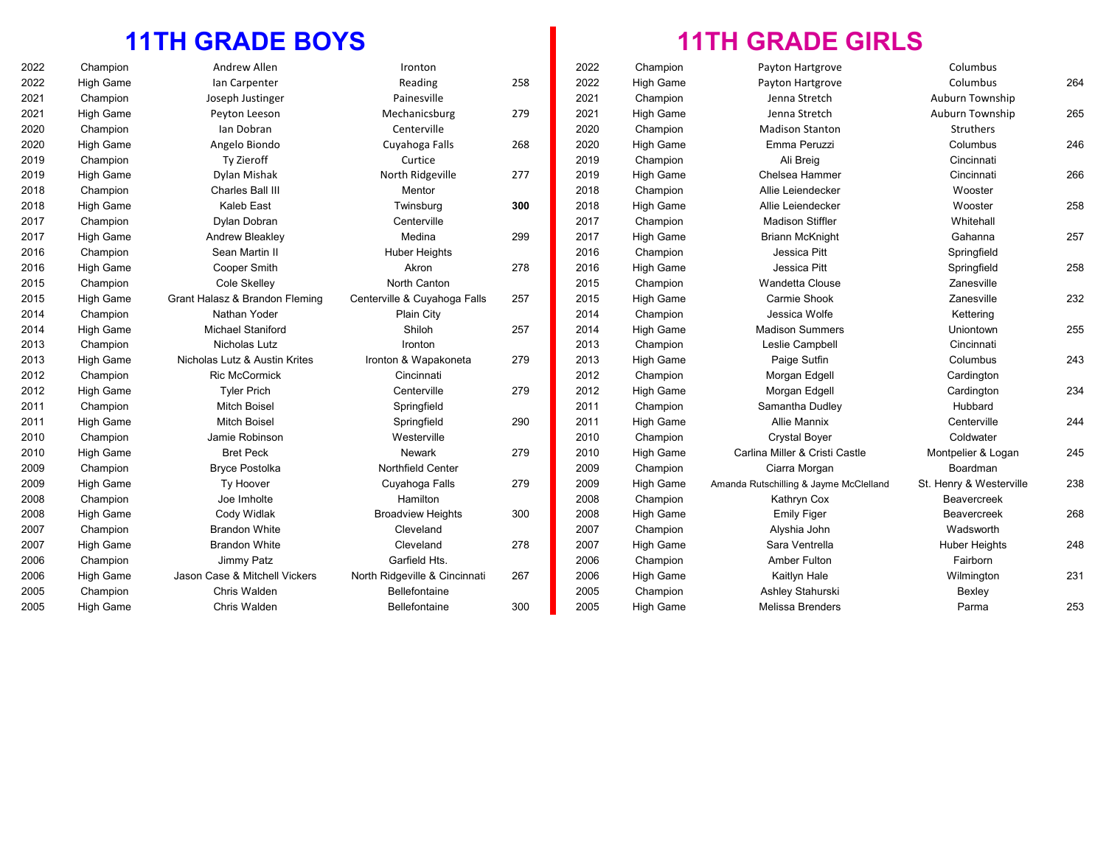#### **11TH GRADE BOYS**

| 2022 | Champion         | Andrew Allen                   | Ironton                       |     | 2022 | Champion         | Payton Hartgrove                       | Columbus                |     |
|------|------------------|--------------------------------|-------------------------------|-----|------|------------------|----------------------------------------|-------------------------|-----|
| 2022 | High Game        | Ian Carpenter                  | Reading                       | 258 | 2022 | High Game        | Payton Hartgrove                       | Columbus                | 264 |
| 2021 | Champion         | Joseph Justinger               | Painesville                   |     | 2021 | Champion         | Jenna Stretch                          | Auburn Township         |     |
| 2021 | High Game        | Peyton Leeson                  | Mechanicsburg                 | 279 | 2021 | <b>High Game</b> | Jenna Stretch                          | Auburn Township         | 265 |
| 2020 | Champion         | Ian Dobran                     | Centerville                   |     | 2020 | Champion         | <b>Madison Stanton</b>                 | Struthers               |     |
| 2020 | High Game        | Angelo Biondo                  | Cuyahoga Falls                | 268 | 2020 | <b>High Game</b> | Emma Peruzzi                           | Columbus                | 246 |
| 2019 | Champion         | Ty Zieroff                     | Curtice                       |     | 2019 | Champion         | Ali Breig                              | Cincinnati              |     |
| 2019 | High Game        | Dylan Mishak                   | North Ridgeville              | 277 | 2019 | High Game        | Chelsea Hammer                         | Cincinnati              | 266 |
| 2018 | Champion         | Charles Ball III               | Mentor                        |     | 2018 | Champion         | Allie Leiendecker                      | Wooster                 |     |
| 2018 | High Game        | Kaleb East                     | Twinsburg                     | 300 | 2018 | <b>High Game</b> | Allie Leiendecker                      | Wooster                 | 258 |
| 2017 | Champion         | Dylan Dobran                   | Centerville                   |     | 2017 | Champion         | <b>Madison Stiffler</b>                | Whitehall               |     |
| 2017 | <b>High Game</b> | <b>Andrew Bleakley</b>         | Medina                        | 299 | 2017 | High Game        | <b>Briann McKnight</b>                 | Gahanna                 | 257 |
| 2016 | Champion         | Sean Martin II                 | <b>Huber Heights</b>          |     | 2016 | Champion         | Jessica Pitt                           | Springfield             |     |
| 2016 | High Game        | Cooper Smith                   | Akron                         | 278 | 2016 | High Game        | Jessica Pitt                           | Springfield             | 258 |
| 2015 | Champion         | Cole Skelley                   | North Canton                  |     | 2015 | Champion         | Wandetta Clouse                        | Zanesville              |     |
| 2015 | High Game        | Grant Halasz & Brandon Fleming | Centerville & Cuyahoga Falls  | 257 | 2015 | <b>High Game</b> | Carmie Shook                           | Zanesville              | 232 |
| 2014 | Champion         | Nathan Yoder                   | <b>Plain City</b>             |     | 2014 | Champion         | Jessica Wolfe                          | Kettering               |     |
| 2014 | High Game        | <b>Michael Staniford</b>       | Shiloh                        | 257 | 2014 | <b>High Game</b> | <b>Madison Summers</b>                 | Uniontown               | 255 |
| 2013 | Champion         | <b>Nicholas Lutz</b>           | Ironton                       |     | 2013 | Champion         | Leslie Campbell                        | Cincinnati              |     |
| 2013 | <b>High Game</b> | Nicholas Lutz & Austin Krites  | Ironton & Wapakoneta          | 279 | 2013 | High Game        | Paige Sutfin                           | Columbus                | 243 |
| 2012 | Champion         | <b>Ric McCormick</b>           | Cincinnati                    |     | 2012 | Champion         | Morgan Edgell                          | Cardington              |     |
| 2012 | High Game        | <b>Tyler Prich</b>             | Centerville                   | 279 | 2012 | <b>High Game</b> | Morgan Edgell                          | Cardington              | 234 |
| 2011 | Champion         | <b>Mitch Boisel</b>            | Springfield                   |     | 2011 | Champion         | Samantha Dudley                        | Hubbard                 |     |
| 2011 | High Game        | <b>Mitch Boisel</b>            | Springfield                   | 290 | 2011 | <b>High Game</b> | <b>Allie Mannix</b>                    | Centerville             | 244 |
| 2010 | Champion         | Jamie Robinson                 | Westerville                   |     | 2010 | Champion         | <b>Crystal Boyer</b>                   | Coldwater               |     |
| 2010 | High Game        | <b>Bret Peck</b>               | <b>Newark</b>                 | 279 | 2010 | High Game        | Carlina Miller & Cristi Castle         | Montpelier & Logan      | 245 |
| 2009 | Champion         | <b>Bryce Postolka</b>          | Northfield Center             |     | 2009 | Champion         | Ciarra Morgan                          | Boardman                |     |
| 2009 | High Game        | Ty Hoover                      | Cuyahoga Falls                | 279 | 2009 | <b>High Game</b> | Amanda Rutschilling & Jayme McClelland | St. Henry & Westerville | 238 |
| 2008 | Champion         | Joe Imholte                    | Hamilton                      |     | 2008 | Champion         | Kathryn Cox                            | Beavercreek             |     |
| 2008 | High Game        | Cody Widlak                    | <b>Broadview Heights</b>      | 300 | 2008 | High Game        | <b>Emily Figer</b>                     | <b>Beavercreek</b>      | 268 |
| 2007 | Champion         | <b>Brandon White</b>           | Cleveland                     |     | 2007 | Champion         | Alyshia John                           | Wadsworth               |     |
| 2007 | <b>High Game</b> | <b>Brandon White</b>           | Cleveland                     | 278 | 2007 | High Game        | Sara Ventrella                         | <b>Huber Heights</b>    | 248 |
| 2006 | Champion         | Jimmy Patz                     | Garfield Hts.                 |     | 2006 | Champion         | <b>Amber Fulton</b>                    | Fairborn                |     |
| 2006 | High Game        | Jason Case & Mitchell Vickers  | North Ridgeville & Cincinnati | 267 | 2006 | <b>High Game</b> | Kaitlyn Hale                           | Wilmington              | 231 |
| 2005 | Champion         | Chris Walden                   | <b>Bellefontaine</b>          |     | 2005 | Champion         | Ashley Stahurski                       | Bexley                  |     |
| 2005 | High Game        | Chris Walden                   | Bellefontaine                 | 300 | 2005 | High Game        | <b>Melissa Brenders</b>                | Parma                   | 253 |

| Champion         | Payton Hartgrove                       | Columbus                |     |
|------------------|----------------------------------------|-------------------------|-----|
| High Game        | Payton Hartgrove                       | Columbus                | 264 |
| Champion         | Jenna Stretch                          | Auburn Township         |     |
| <b>High Game</b> | Jenna Stretch                          | Auburn Township         | 265 |
| Champion         | <b>Madison Stanton</b>                 | <b>Struthers</b>        |     |
| High Game        | Emma Peruzzi                           | Columbus                | 246 |
| Champion         | Ali Breig                              | Cincinnati              |     |
| High Game        | Chelsea Hammer                         | Cincinnati              | 266 |
| Champion         | Allie Leiendecker                      | Wooster                 |     |
| High Game        | Allie Leiendecker                      | Wooster                 | 258 |
| Champion         | <b>Madison Stiffler</b>                | Whitehall               |     |
| High Game        | <b>Briann McKnight</b>                 | Gahanna                 | 257 |
| Champion         | Jessica Pitt                           | Springfield             |     |
| High Game        | Jessica Pitt                           | Springfield             | 258 |
| Champion         | <b>Wandetta Clouse</b>                 | Zanesville              |     |
| High Game        | Carmie Shook                           | Zanesville              | 232 |
| Champion         | Jessica Wolfe                          | Kettering               |     |
| High Game        | <b>Madison Summers</b>                 | Uniontown               | 255 |
| Champion         | Leslie Campbell                        | Cincinnati              |     |
| <b>High Game</b> | Paige Sutfin                           | Columbus                | 243 |
| Champion         | Morgan Edgell                          | Cardington              |     |
| <b>High Game</b> | Morgan Edgell                          | Cardington              | 234 |
| Champion         | Samantha Dudley                        | Hubbard                 |     |
| High Game        | <b>Allie Mannix</b>                    | Centerville             | 244 |
| Champion         | <b>Crystal Boyer</b>                   | Coldwater               |     |
| High Game        | Carlina Miller & Cristi Castle         | Montpelier & Logan      | 245 |
| Champion         | Ciarra Morgan                          | Boardman                |     |
| <b>High Game</b> | Amanda Rutschilling & Jayme McClelland | St. Henry & Westerville | 238 |
| Champion         | Kathryn Cox                            | <b>Beavercreek</b>      |     |
| <b>High Game</b> | <b>Emily Figer</b>                     | <b>Beavercreek</b>      | 268 |
| Champion         | Alyshia John                           | Wadsworth               |     |
| High Game        | Sara Ventrella                         | <b>Huber Heights</b>    | 248 |
| Champion         | Amber Fulton                           | Fairborn                |     |
| High Game        | Kaitlyn Hale                           | Wilmington              | 231 |
| Champion         | Ashley Stahurski                       | Bexley                  |     |
| <b>High Game</b> | <b>Melissa Brenders</b>                | Parma                   | 253 |
|                  |                                        |                         |     |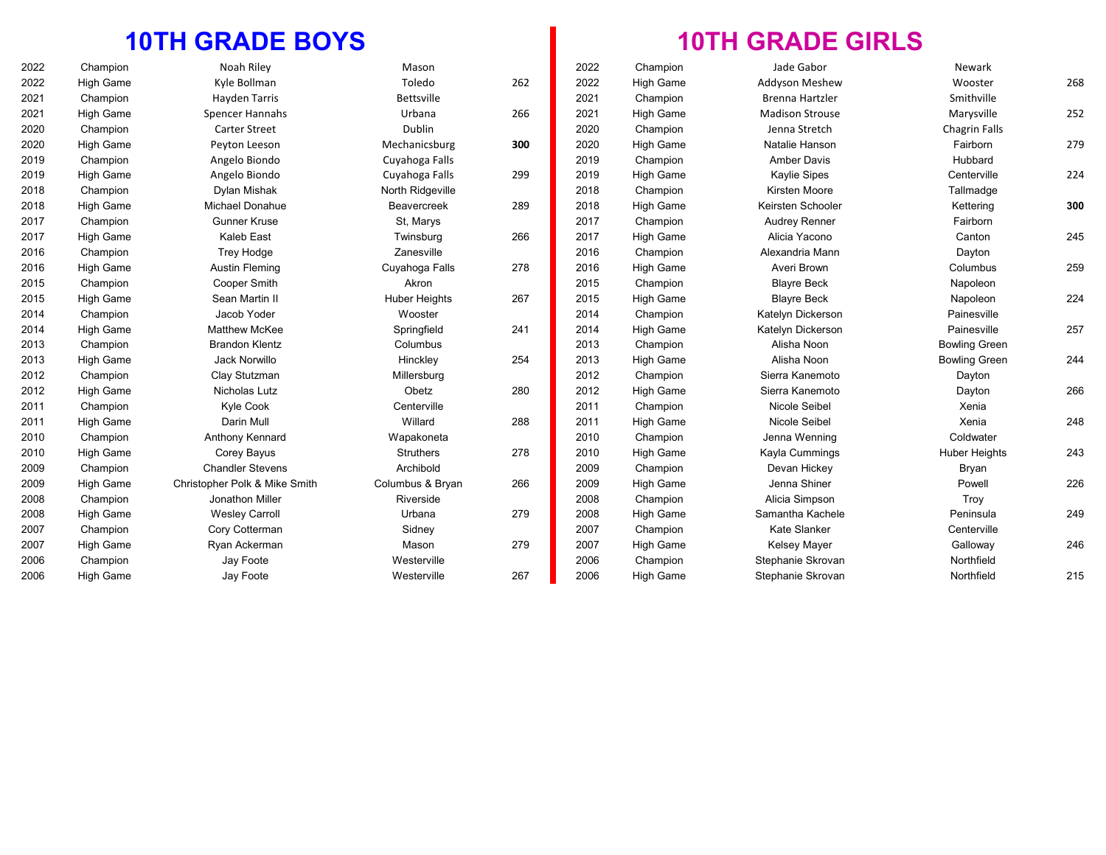#### **10TH GRADE BOYS**

| 2022 | Champion         | Noah Riley                    | Mason                |     | 2022 | Champion         | Jade Gabor             | Newark               |     |
|------|------------------|-------------------------------|----------------------|-----|------|------------------|------------------------|----------------------|-----|
| 2022 | High Game        | Kyle Bollman                  | Toledo               | 262 | 2022 | <b>High Game</b> | Addyson Meshew         | Wooster              | 268 |
| 2021 | Champion         | <b>Hayden Tarris</b>          | Bettsville           |     | 2021 | Champion         | <b>Brenna Hartzler</b> | Smithville           |     |
| 2021 | High Game        | <b>Spencer Hannahs</b>        | Urbana               | 266 | 2021 | <b>High Game</b> | <b>Madison Strouse</b> | Marysville           | 252 |
| 2020 | Champion         | <b>Carter Street</b>          | Dublin               |     | 2020 | Champion         | Jenna Stretch          | <b>Chagrin Falls</b> |     |
| 2020 | High Game        | Peyton Leeson                 | Mechanicsburg        | 300 | 2020 | <b>High Game</b> | Natalie Hanson         | Fairborn             | 279 |
| 2019 | Champion         | Angelo Biondo                 | Cuyahoga Falls       |     | 2019 | Champion         | <b>Amber Davis</b>     | Hubbard              |     |
| 2019 | High Game        | Angelo Biondo                 | Cuyahoga Falls       | 299 | 2019 | <b>High Game</b> | <b>Kaylie Sipes</b>    | Centerville          | 224 |
| 2018 | Champion         | Dylan Mishak                  | North Ridgeville     |     | 2018 | Champion         | Kirsten Moore          | Tallmadge            |     |
| 2018 | High Game        | Michael Donahue               | <b>Beavercreek</b>   | 289 | 2018 | <b>High Game</b> | Keirsten Schooler      | Kettering            | 300 |
| 2017 | Champion         | <b>Gunner Kruse</b>           | St, Marys            |     | 2017 | Champion         | <b>Audrey Renner</b>   | Fairborn             |     |
| 2017 | High Game        | Kaleb East                    | Twinsburg            | 266 | 2017 | <b>High Game</b> | Alicia Yacono          | Canton               | 245 |
| 2016 | Champion         | Trey Hodge                    | Zanesville           |     | 2016 | Champion         | Alexandria Mann        | Dayton               |     |
| 2016 | High Game        | Austin Fleming                | Cuyahoga Falls       | 278 | 2016 | <b>High Game</b> | Averi Brown            | Columbus             | 259 |
| 2015 | Champion         | Cooper Smith                  | Akron                |     | 2015 | Champion         | <b>Blayre Beck</b>     | Napoleon             |     |
| 2015 | <b>High Game</b> | Sean Martin II                | <b>Huber Heights</b> | 267 | 2015 | <b>High Game</b> | <b>Blayre Beck</b>     | Napoleon             | 224 |
| 2014 | Champion         | Jacob Yoder                   | Wooster              |     | 2014 | Champion         | Katelyn Dickerson      | Painesville          |     |
| 2014 | High Game        | <b>Matthew McKee</b>          | Springfield          | 241 | 2014 | <b>High Game</b> | Katelyn Dickerson      | Painesville          | 257 |
| 2013 | Champion         | <b>Brandon Klentz</b>         | Columbus             |     | 2013 | Champion         | Alisha Noon            | <b>Bowling Green</b> |     |
| 2013 | High Game        | Jack Norwillo                 | Hinckley             | 254 | 2013 | <b>High Game</b> | Alisha Noon            | <b>Bowling Green</b> | 244 |
| 2012 | Champion         | Clay Stutzman                 | Millersburg          |     | 2012 | Champion         | Sierra Kanemoto        | Dayton               |     |
| 2012 | High Game        | Nicholas Lutz                 | Obetz                | 280 | 2012 | <b>High Game</b> | Sierra Kanemoto        | Dayton               | 266 |
| 2011 | Champion         | Kyle Cook                     | Centerville          |     | 2011 | Champion         | Nicole Seibel          | Xenia                |     |
| 2011 | High Game        | Darin Mull                    | Willard              | 288 | 2011 | <b>High Game</b> | Nicole Seibel          | Xenia                | 248 |
| 2010 | Champion         | Anthony Kennard               | Wapakoneta           |     | 2010 | Champion         | Jenna Wenning          | Coldwater            |     |
| 2010 | High Game        | Corey Bayus                   | <b>Struthers</b>     | 278 | 2010 | <b>High Game</b> | Kayla Cummings         | <b>Huber Heights</b> | 243 |
| 2009 | Champion         | <b>Chandler Stevens</b>       | Archibold            |     | 2009 | Champion         | Devan Hickey           | Bryan                |     |
| 2009 | High Game        | Christopher Polk & Mike Smith | Columbus & Bryan     | 266 | 2009 | <b>High Game</b> | Jenna Shiner           | Powell               | 226 |
| 2008 | Champion         | Jonathon Miller               | Riverside            |     | 2008 | Champion         | Alicia Simpson         | Troy                 |     |
| 2008 | High Game        | <b>Wesley Carroll</b>         | Urbana               | 279 | 2008 | <b>High Game</b> | Samantha Kachele       | Peninsula            | 249 |
| 2007 | Champion         | Cory Cotterman                | Sidney               |     | 2007 | Champion         | <b>Kate Slanker</b>    | Centerville          |     |
| 2007 | High Game        | Ryan Ackerman                 | Mason                | 279 | 2007 | <b>High Game</b> | <b>Kelsey Mayer</b>    | Galloway             | 246 |
| 2006 | Champion         | Jay Foote                     | Westerville          |     | 2006 | Champion         | Stephanie Skrovan      | Northfield           |     |
| 2006 | High Game        | Jay Foote                     | Westerville          | 267 | 2006 | <b>High Game</b> | Stephanie Skrovan      | Northfield           | 215 |
|      |                  |                               |                      |     |      |                  |                        |                      |     |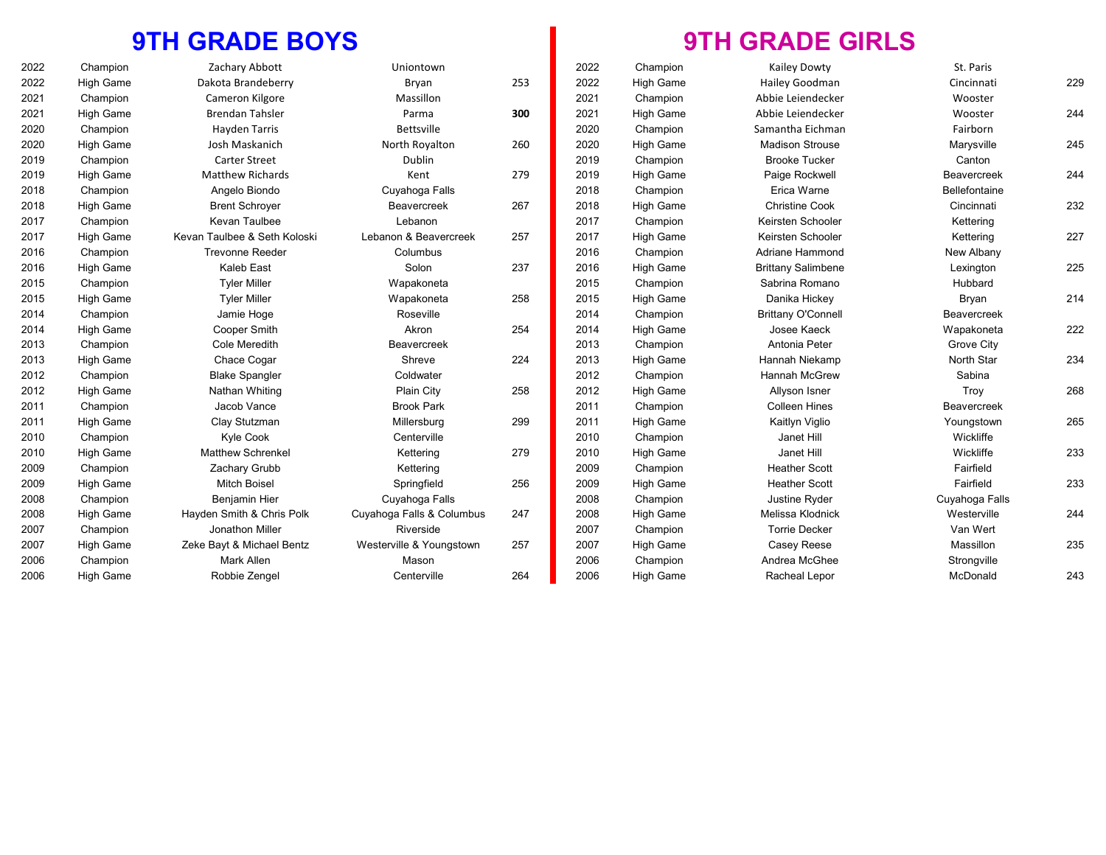### **9TH GRADE BOYS**

| 2022 | Champion         | Zachary Abbott               | Uniontown                 |     | 2022 | Champion  | Kailey Dowty              | St. Paris          |     |
|------|------------------|------------------------------|---------------------------|-----|------|-----------|---------------------------|--------------------|-----|
| 2022 | <b>High Game</b> | Dakota Brandeberry           | Bryan                     | 253 | 2022 | High Game | Hailey Goodman            | Cincinnati         | 229 |
| 2021 | Champion         | Cameron Kilgore              | Massillon                 |     | 2021 | Champion  | Abbie Leiendecker         | Wooster            |     |
| 2021 | <b>High Game</b> | <b>Brendan Tahsler</b>       | Parma                     | 300 | 2021 | High Game | Abbie Leiendecker         | Wooster            | 244 |
| 2020 | Champion         | Hayden Tarris                | <b>Bettsville</b>         |     | 2020 | Champion  | Samantha Eichman          | Fairborn           |     |
| 2020 | <b>High Game</b> | Josh Maskanich               | North Royalton            | 260 | 2020 | High Game | <b>Madison Strouse</b>    | Marysville         | 245 |
| 2019 | Champion         | <b>Carter Street</b>         | Dublin                    |     | 2019 | Champion  | <b>Brooke Tucker</b>      | Canton             |     |
| 2019 | <b>High Game</b> | <b>Matthew Richards</b>      | Kent                      | 279 | 2019 | High Game | Paige Rockwell            | <b>Beavercreek</b> | 244 |
| 2018 | Champion         | Angelo Biondo                | Cuyahoga Falls            |     | 2018 | Champion  | Erica Warne               | Bellefontaine      |     |
| 2018 | <b>High Game</b> | <b>Brent Schrover</b>        | Beavercreek               | 267 | 2018 | High Game | <b>Christine Cook</b>     | Cincinnati         | 232 |
| 2017 | Champion         | Kevan Taulbee                | Lebanon                   |     | 2017 | Champion  | Keirsten Schooler         | Kettering          |     |
| 2017 | <b>High Game</b> | Kevan Taulbee & Seth Koloski | Lebanon & Beavercreek     | 257 | 2017 | High Game | Keirsten Schooler         | Kettering          | 227 |
| 2016 | Champion         | <b>Trevonne Reeder</b>       | Columbus                  |     | 2016 | Champion  | <b>Adriane Hammond</b>    | New Albany         |     |
| 2016 | High Game        | Kaleb East                   | Solon                     | 237 | 2016 | High Game | <b>Brittany Salimbene</b> | Lexington          | 225 |
| 2015 | Champion         | <b>Tyler Miller</b>          | Wapakoneta                |     | 2015 | Champion  | Sabrina Romano            | Hubbard            |     |
| 2015 | <b>High Game</b> | <b>Tyler Miller</b>          | Wapakoneta                | 258 | 2015 | High Game | Danika Hickey             | Bryan              | 214 |
| 2014 | Champion         | Jamie Hoge                   | Roseville                 |     | 2014 | Champion  | <b>Brittany O'Connell</b> | Beavercreek        |     |
| 2014 | <b>High Game</b> | Cooper Smith                 | Akron                     | 254 | 2014 | High Game | Josee Kaeck               | Wapakoneta         | 222 |
| 2013 | Champion         | Cole Meredith                | Beavercreek               |     | 2013 | Champion  | Antonia Peter             | Grove City         |     |
| 2013 | <b>High Game</b> | Chace Cogar                  | Shreve                    | 224 | 2013 | High Game | Hannah Niekamp            | North Star         | 234 |
| 2012 | Champion         | <b>Blake Spangler</b>        | Coldwater                 |     | 2012 | Champion  | <b>Hannah McGrew</b>      | Sabina             |     |
| 2012 | <b>High Game</b> | Nathan Whiting               | Plain City                | 258 | 2012 | High Game | Allyson Isner             | Troy               | 268 |
| 2011 | Champion         | Jacob Vance                  | <b>Brook Park</b>         |     | 2011 | Champion  | <b>Colleen Hines</b>      | <b>Beavercreek</b> |     |
| 2011 | <b>High Game</b> | Clay Stutzman                | Millersburg               | 299 | 2011 | High Game | Kaitlyn Viglio            | Youngstown         | 265 |
| 2010 | Champion         | Kyle Cook                    | Centerville               |     | 2010 | Champion  | Janet Hill                | Wickliffe          |     |
| 2010 | <b>High Game</b> | <b>Matthew Schrenkel</b>     | Kettering                 | 279 | 2010 | High Game | Janet Hill                | Wickliffe          | 233 |
| 2009 | Champion         | Zachary Grubb                | Kettering                 |     | 2009 | Champion  | <b>Heather Scott</b>      | Fairfield          |     |
| 2009 | <b>High Game</b> | <b>Mitch Boisel</b>          | Springfield               | 256 | 2009 | High Game | <b>Heather Scott</b>      | Fairfield          | 233 |
| 2008 | Champion         | <b>Benjamin Hier</b>         | Cuyahoga Falls            |     | 2008 | Champion  | Justine Ryder             | Cuyahoga Falls     |     |
| 2008 | <b>High Game</b> | Hayden Smith & Chris Polk    | Cuyahoga Falls & Columbus | 247 | 2008 | High Game | Melissa Klodnick          | Westerville        | 244 |
| 2007 | Champion         | Jonathon Miller              | Riverside                 |     | 2007 | Champion  | <b>Torrie Decker</b>      | Van Wert           |     |
| 2007 | <b>High Game</b> | Zeke Bayt & Michael Bentz    | Westerville & Youngstown  | 257 | 2007 | High Game | Casey Reese               | Massillon          | 235 |
| 2006 | Champion         | Mark Allen                   | Mason                     |     | 2006 | Champion  | Andrea McGhee             | Strongville        |     |
| 2006 | High Game        | Robbie Zengel                | Centerville               | 264 | 2006 | High Game | Racheal Lepor             | McDonald           | 243 |
|      |                  |                              |                           |     |      |           |                           |                    |     |